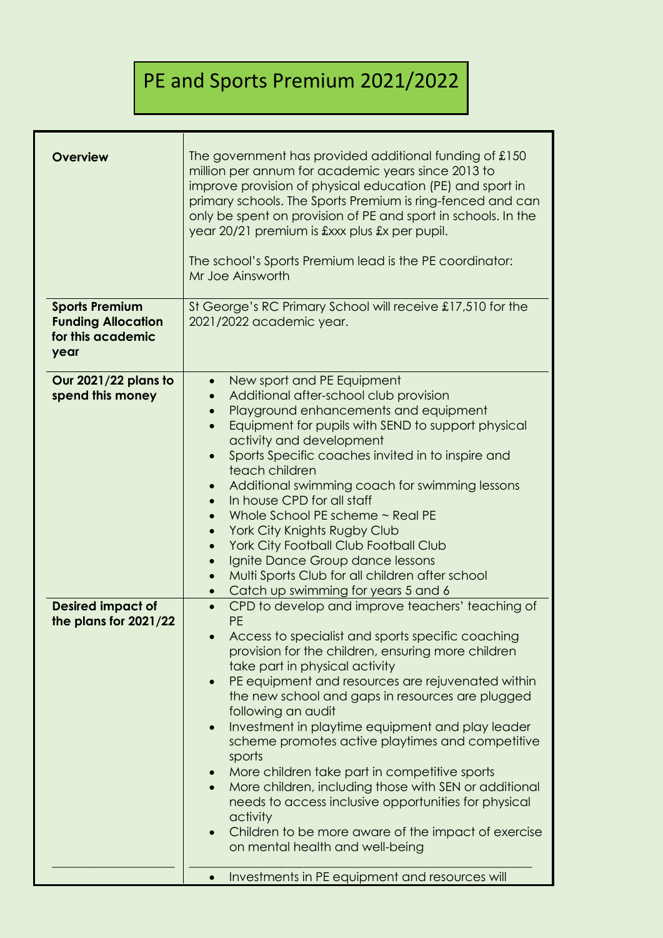## PE and Sports Premium 2021/2022

| <b>Overview</b><br><b>Sports Premium</b><br><b>Funding Allocation</b><br>for this academic<br>year | The government has provided additional funding of £150<br>million per annum for academic years since 2013 to<br>improve provision of physical education (PE) and sport in<br>primary schools. The Sports Premium is ring-fenced and can<br>only be spent on provision of PE and sport in schools. In the<br>year 20/21 premium is £xxx plus £x per pupil.<br>The school's Sports Premium lead is the PE coordinator:<br>Mr Joe Ainsworth<br>St George's RC Primary School will receive £17,510 for the<br>2021/2022 academic year. |  |
|----------------------------------------------------------------------------------------------------|------------------------------------------------------------------------------------------------------------------------------------------------------------------------------------------------------------------------------------------------------------------------------------------------------------------------------------------------------------------------------------------------------------------------------------------------------------------------------------------------------------------------------------|--|
| Our 2021/22 plans to<br>spend this money                                                           | New sport and PE Equipment<br>$\bullet$<br>Additional after-school club provision<br>Playground enhancements and equipment<br>$\bullet$<br>Equipment for pupils with SEND to support physical<br>$\bullet$                                                                                                                                                                                                                                                                                                                         |  |
|                                                                                                    | activity and development<br>Sports Specific coaches invited in to inspire and<br>teach children                                                                                                                                                                                                                                                                                                                                                                                                                                    |  |
|                                                                                                    | Additional swimming coach for swimming lessons<br>$\bullet$<br>In house CPD for all staff<br>$\bullet$                                                                                                                                                                                                                                                                                                                                                                                                                             |  |
|                                                                                                    | Whole School PE scheme ~ Real PE<br>$\bullet$<br>York City Knights Rugby Club                                                                                                                                                                                                                                                                                                                                                                                                                                                      |  |
|                                                                                                    | York City Football Club Football Club<br>$\bullet$                                                                                                                                                                                                                                                                                                                                                                                                                                                                                 |  |
|                                                                                                    | Ignite Dance Group dance lessons<br>$\bullet$<br>Multi Sports Club for all children after school<br>$\bullet$                                                                                                                                                                                                                                                                                                                                                                                                                      |  |
|                                                                                                    | Catch up swimming for years 5 and 6<br>$\bullet$                                                                                                                                                                                                                                                                                                                                                                                                                                                                                   |  |
| <b>Desired impact of</b><br>the plans for 2021/22                                                  | CPD to develop and improve teachers' teaching of<br>$\bullet$<br><b>PE</b>                                                                                                                                                                                                                                                                                                                                                                                                                                                         |  |
|                                                                                                    | Access to specialist and sports specific coaching<br>provision for the children, ensuring more children                                                                                                                                                                                                                                                                                                                                                                                                                            |  |
|                                                                                                    | take part in physical activity                                                                                                                                                                                                                                                                                                                                                                                                                                                                                                     |  |
|                                                                                                    | PE equipment and resources are rejuvenated within<br>$\bullet$<br>the new school and gaps in resources are plugged<br>following an audit                                                                                                                                                                                                                                                                                                                                                                                           |  |
|                                                                                                    | Investment in playtime equipment and play leader<br>$\bullet$                                                                                                                                                                                                                                                                                                                                                                                                                                                                      |  |
|                                                                                                    | scheme promotes active playtimes and competitive<br>sports                                                                                                                                                                                                                                                                                                                                                                                                                                                                         |  |
|                                                                                                    | More children take part in competitive sports<br>$\bullet$                                                                                                                                                                                                                                                                                                                                                                                                                                                                         |  |
|                                                                                                    | More children, including those with SEN or additional<br>$\bullet$<br>needs to access inclusive opportunities for physical                                                                                                                                                                                                                                                                                                                                                                                                         |  |
|                                                                                                    | activity<br>Children to be more aware of the impact of exercise                                                                                                                                                                                                                                                                                                                                                                                                                                                                    |  |
|                                                                                                    | on mental health and well-being                                                                                                                                                                                                                                                                                                                                                                                                                                                                                                    |  |
|                                                                                                    | Investments in PE equipment and resources will                                                                                                                                                                                                                                                                                                                                                                                                                                                                                     |  |